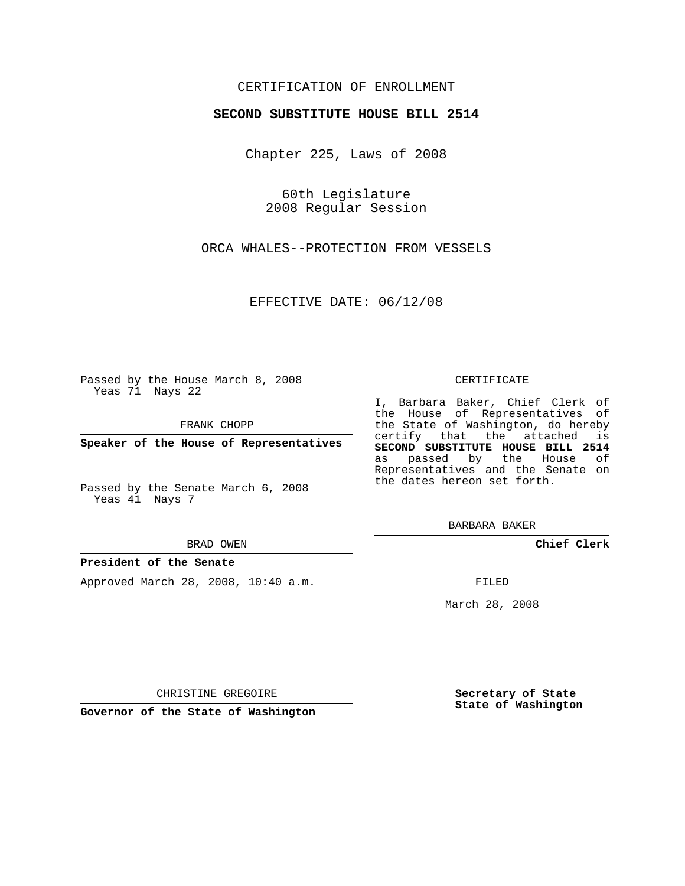## CERTIFICATION OF ENROLLMENT

### **SECOND SUBSTITUTE HOUSE BILL 2514**

Chapter 225, Laws of 2008

60th Legislature 2008 Regular Session

ORCA WHALES--PROTECTION FROM VESSELS

EFFECTIVE DATE: 06/12/08

Passed by the House March 8, 2008 Yeas 71 Nays 22

FRANK CHOPP

**Speaker of the House of Representatives**

Passed by the Senate March 6, 2008 Yeas 41 Nays 7

#### BRAD OWEN

### **President of the Senate**

Approved March 28, 2008, 10:40 a.m.

#### CERTIFICATE

I, Barbara Baker, Chief Clerk of the House of Representatives of the State of Washington, do hereby certify that the attached is **SECOND SUBSTITUTE HOUSE BILL 2514** as passed by the House of Representatives and the Senate on the dates hereon set forth.

BARBARA BAKER

**Chief Clerk**

FILED

March 28, 2008

CHRISTINE GREGOIRE

**Governor of the State of Washington**

**Secretary of State State of Washington**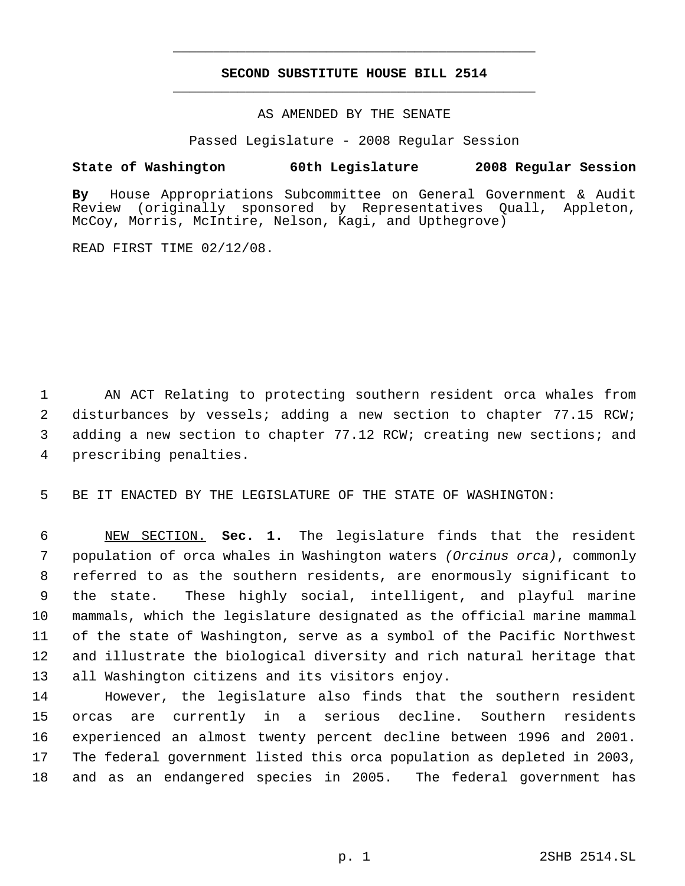# **SECOND SUBSTITUTE HOUSE BILL 2514** \_\_\_\_\_\_\_\_\_\_\_\_\_\_\_\_\_\_\_\_\_\_\_\_\_\_\_\_\_\_\_\_\_\_\_\_\_\_\_\_\_\_\_\_\_

\_\_\_\_\_\_\_\_\_\_\_\_\_\_\_\_\_\_\_\_\_\_\_\_\_\_\_\_\_\_\_\_\_\_\_\_\_\_\_\_\_\_\_\_\_

AS AMENDED BY THE SENATE

Passed Legislature - 2008 Regular Session

## **State of Washington 60th Legislature 2008 Regular Session**

**By** House Appropriations Subcommittee on General Government & Audit (originally sponsored by Representatives Quall, Appleton, McCoy, Morris, McIntire, Nelson, Kagi, and Upthegrove)

READ FIRST TIME 02/12/08.

 AN ACT Relating to protecting southern resident orca whales from disturbances by vessels; adding a new section to chapter 77.15 RCW; adding a new section to chapter 77.12 RCW; creating new sections; and prescribing penalties.

BE IT ENACTED BY THE LEGISLATURE OF THE STATE OF WASHINGTON:

 NEW SECTION. **Sec. 1.** The legislature finds that the resident population of orca whales in Washington waters *(Orcinus orca)*, commonly referred to as the southern residents, are enormously significant to the state. These highly social, intelligent, and playful marine mammals, which the legislature designated as the official marine mammal of the state of Washington, serve as a symbol of the Pacific Northwest and illustrate the biological diversity and rich natural heritage that all Washington citizens and its visitors enjoy.

 However, the legislature also finds that the southern resident orcas are currently in a serious decline. Southern residents experienced an almost twenty percent decline between 1996 and 2001. The federal government listed this orca population as depleted in 2003, and as an endangered species in 2005. The federal government has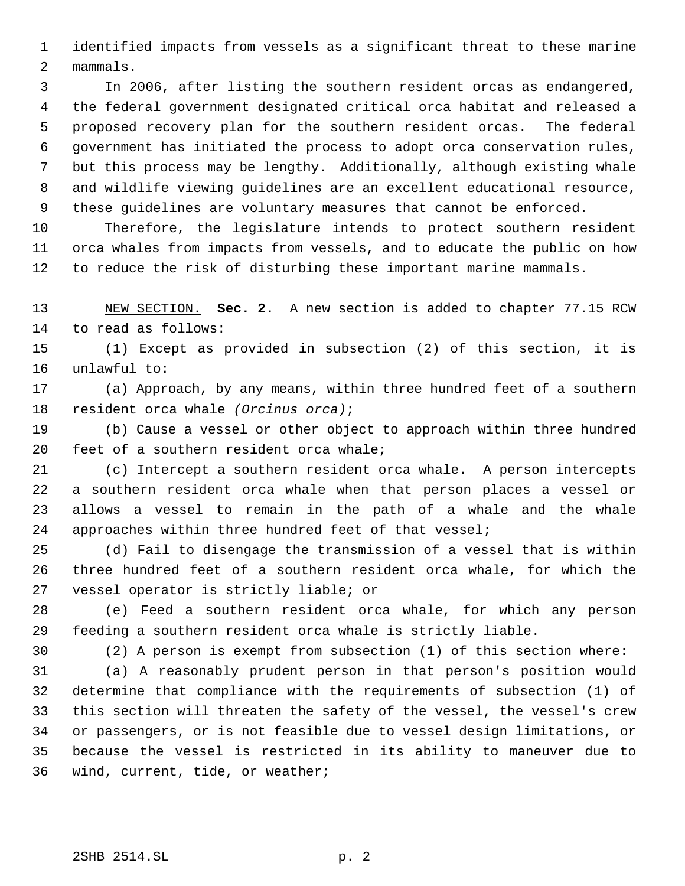identified impacts from vessels as a significant threat to these marine mammals.

 In 2006, after listing the southern resident orcas as endangered, the federal government designated critical orca habitat and released a proposed recovery plan for the southern resident orcas. The federal government has initiated the process to adopt orca conservation rules, but this process may be lengthy. Additionally, although existing whale and wildlife viewing guidelines are an excellent educational resource, these guidelines are voluntary measures that cannot be enforced.

 Therefore, the legislature intends to protect southern resident orca whales from impacts from vessels, and to educate the public on how to reduce the risk of disturbing these important marine mammals.

 NEW SECTION. **Sec. 2.** A new section is added to chapter 77.15 RCW to read as follows:

 (1) Except as provided in subsection (2) of this section, it is unlawful to:

 (a) Approach, by any means, within three hundred feet of a southern resident orca whale *(Orcinus orca)*;

 (b) Cause a vessel or other object to approach within three hundred feet of a southern resident orca whale;

 (c) Intercept a southern resident orca whale. A person intercepts a southern resident orca whale when that person places a vessel or allows a vessel to remain in the path of a whale and the whale approaches within three hundred feet of that vessel;

 (d) Fail to disengage the transmission of a vessel that is within three hundred feet of a southern resident orca whale, for which the vessel operator is strictly liable; or

 (e) Feed a southern resident orca whale, for which any person feeding a southern resident orca whale is strictly liable.

(2) A person is exempt from subsection (1) of this section where:

 (a) A reasonably prudent person in that person's position would determine that compliance with the requirements of subsection (1) of this section will threaten the safety of the vessel, the vessel's crew or passengers, or is not feasible due to vessel design limitations, or because the vessel is restricted in its ability to maneuver due to wind, current, tide, or weather;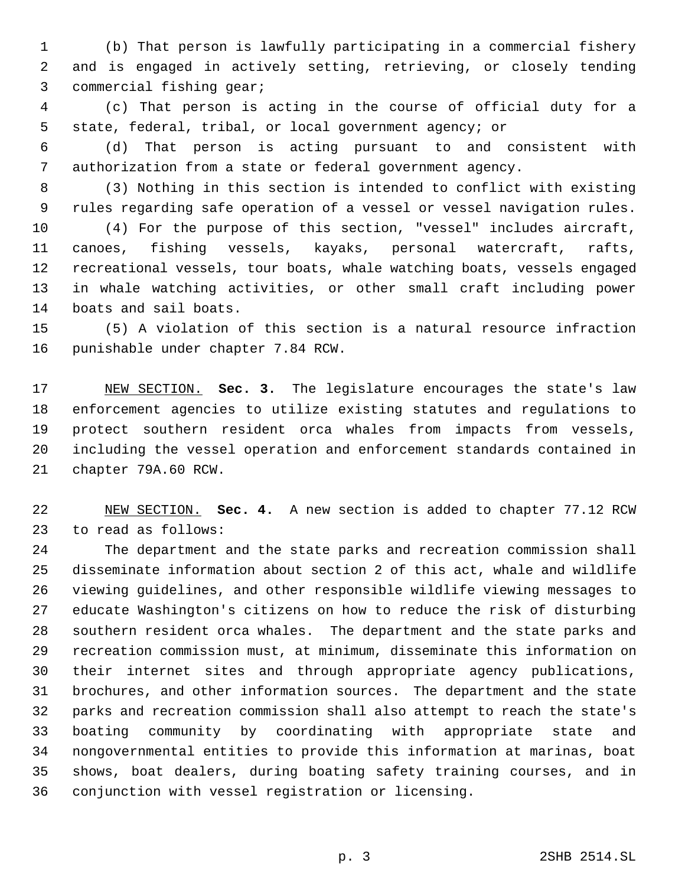(b) That person is lawfully participating in a commercial fishery and is engaged in actively setting, retrieving, or closely tending commercial fishing gear;

 (c) That person is acting in the course of official duty for a state, federal, tribal, or local government agency; or

 (d) That person is acting pursuant to and consistent with authorization from a state or federal government agency.

 (3) Nothing in this section is intended to conflict with existing rules regarding safe operation of a vessel or vessel navigation rules.

 (4) For the purpose of this section, "vessel" includes aircraft, canoes, fishing vessels, kayaks, personal watercraft, rafts, recreational vessels, tour boats, whale watching boats, vessels engaged in whale watching activities, or other small craft including power boats and sail boats.

 (5) A violation of this section is a natural resource infraction punishable under chapter 7.84 RCW.

 NEW SECTION. **Sec. 3.** The legislature encourages the state's law enforcement agencies to utilize existing statutes and regulations to protect southern resident orca whales from impacts from vessels, including the vessel operation and enforcement standards contained in chapter 79A.60 RCW.

 NEW SECTION. **Sec. 4.** A new section is added to chapter 77.12 RCW to read as follows:

 The department and the state parks and recreation commission shall disseminate information about section 2 of this act, whale and wildlife viewing guidelines, and other responsible wildlife viewing messages to educate Washington's citizens on how to reduce the risk of disturbing southern resident orca whales. The department and the state parks and recreation commission must, at minimum, disseminate this information on their internet sites and through appropriate agency publications, brochures, and other information sources. The department and the state parks and recreation commission shall also attempt to reach the state's boating community by coordinating with appropriate state and nongovernmental entities to provide this information at marinas, boat shows, boat dealers, during boating safety training courses, and in conjunction with vessel registration or licensing.